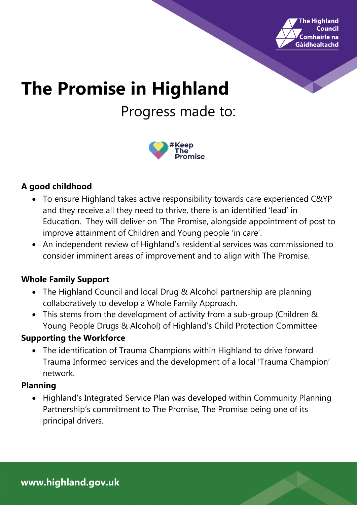

# **The Promise in Highland** Progress made to:



## **A good childhood**

- To ensure Highland takes active responsibility towards care experienced C&YP and they receive all they need to thrive, there is an identified 'lead' in Education. They will deliver on 'The Promise, alongside appointment of post to improve attainment of Children and Young people 'in care'.
- An independent review of Highland's residential services was commissioned to consider imminent areas of improvement and to align with The Promise.

## **Whole Family Support**

- The Highland Council and local Drug & Alcohol partnership are planning collaboratively to develop a Whole Family Approach.
- This stems from the development of activity from a sub-group (Children & Young People Drugs & Alcohol) of Highland's Child Protection Committee

### **Supporting the Workforce**

• The identification of Trauma Champions within Highland to drive forward Trauma Informed services and the development of a local 'Trauma Champion' network.

### **Planning**

• Highland's Integrated Service Plan was developed within Community Planning Partnership's commitment to The Promise, The Promise being one of its principal drivers.